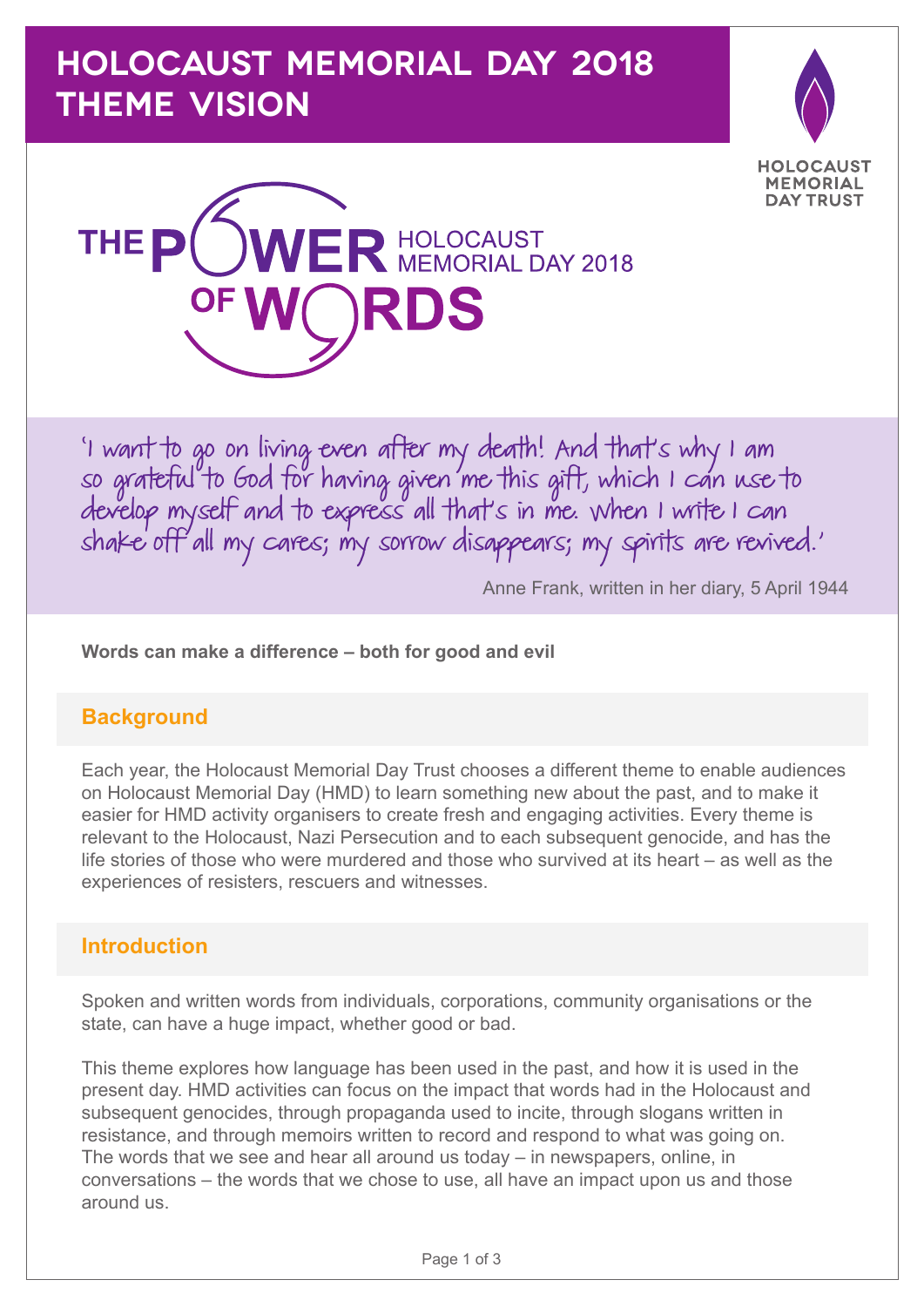# **HOLOCAUST MEMORIAL DAY 2018 THEME VISION**





'I want to go on living even after my death! And that's why I am so grateful to God for having given me this gift, which I can use to develop myself and to express all that's in me. When I write I can shake off all my cares; my sorrow disappears; my spirits are revived.'

Anne Frank, written in her diary, 5 April 1944

**Words can make a difference – both for good and evil**

# **Background**

Each year, the Holocaust Memorial Day Trust chooses a different theme to enable audiences on Holocaust Memorial Day (HMD) to learn something new about the past, and to make it easier for HMD activity organisers to create fresh and engaging activities. Every theme is relevant to the Holocaust, Nazi Persecution and to each subsequent genocide, and has the life stories of those who were murdered and those who survived at its heart – as well as the experiences of resisters, rescuers and witnesses.

# **Introduction**

Spoken and written words from individuals, corporations, community organisations or the state, can have a huge impact, whether good or bad.

This theme explores how language has been used in the past, and how it is used in the present day. HMD activities can focus on the impact that words had in the Holocaust and subsequent genocides, through propaganda used to incite, through slogans written in resistance, and through memoirs written to record and respond to what was going on. The words that we see and hear all around us today – in newspapers, online, in conversations – the words that we chose to use, all have an impact upon us and those around us.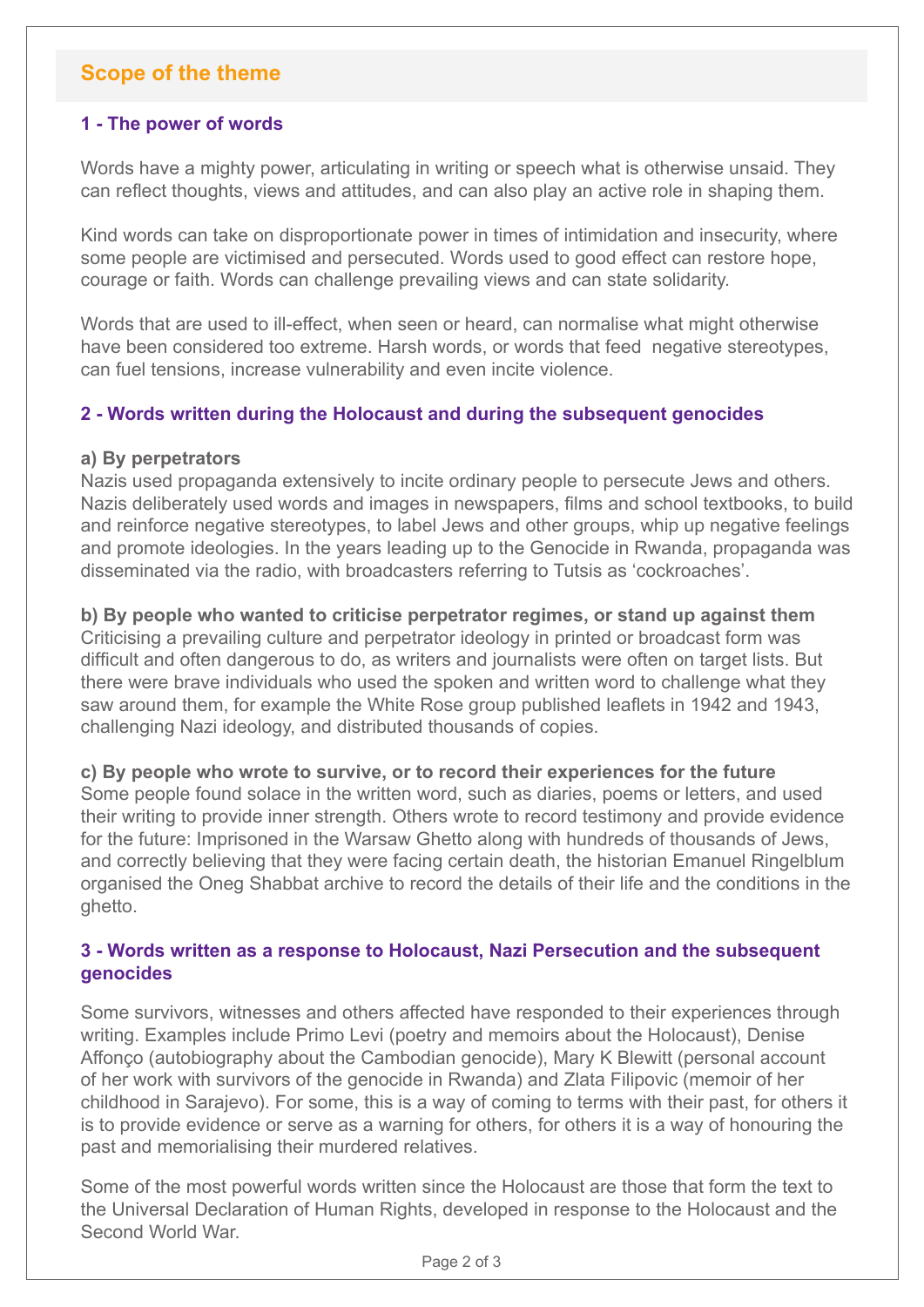# **Scope of the theme**

# **1 - The power of words**

Words have a mighty power, articulating in writing or speech what is otherwise unsaid. They can reflect thoughts, views and attitudes, and can also play an active role in shaping them.

Kind words can take on disproportionate power in times of intimidation and insecurity, where some people are victimised and persecuted. Words used to good effect can restore hope, courage or faith. Words can challenge prevailing views and can state solidarity.

Words that are used to ill-effect, when seen or heard, can normalise what might otherwise have been considered too extreme. Harsh words, or words that feed negative stereotypes, can fuel tensions, increase vulnerability and even incite violence.

## **2 - Words written during the Holocaust and during the subsequent genocides**

#### **a) By perpetrators**

Nazis used propaganda extensively to incite ordinary people to persecute Jews and others. Nazis deliberately used words and images in newspapers, films and school textbooks, to build and reinforce negative stereotypes, to label Jews and other groups, whip up negative feelings and promote ideologies. In the years leading up to the Genocide in Rwanda, propaganda was disseminated via the radio, with broadcasters referring to Tutsis as 'cockroaches'.

**b) By people who wanted to criticise perpetrator regimes, or stand up against them** Criticising a prevailing culture and perpetrator ideology in printed or broadcast form was difficult and often dangerous to do, as writers and journalists were often on target lists. But there were brave individuals who used the spoken and written word to challenge what they saw around them, for example the White Rose group published leaflets in 1942 and 1943, challenging Nazi ideology, and distributed thousands of copies.

**c) By people who wrote to survive, or to record their experiences for the future** Some people found solace in the written word, such as diaries, poems or letters, and used their writing to provide inner strength. Others wrote to record testimony and provide evidence for the future: Imprisoned in the Warsaw Ghetto along with hundreds of thousands of Jews,

and correctly believing that they were facing certain death, the historian Emanuel Ringelblum organised the Oneg Shabbat archive to record the details of their life and the conditions in the ghetto.

## **3 - Words written as a response to Holocaust, Nazi Persecution and the subsequent genocides**

Some survivors, witnesses and others affected have responded to their experiences through writing. Examples include Primo Levi (poetry and memoirs about the Holocaust), Denise Affonço (autobiography about the Cambodian genocide), Mary K Blewitt (personal account of her work with survivors of the genocide in Rwanda) and Zlata Filipovic (memoir of her childhood in Sarajevo). For some, this is a way of coming to terms with their past, for others it is to provide evidence or serve as a warning for others, for others it is a way of honouring the past and memorialising their murdered relatives.

Some of the most powerful words written since the Holocaust are those that form the text to the Universal Declaration of Human Rights, developed in response to the Holocaust and the Second World War.